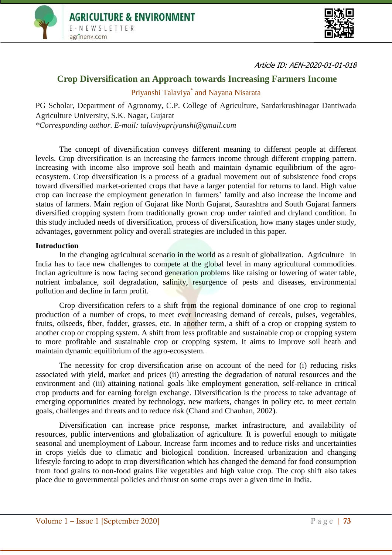



Article ID: AEN-2020-01-01-018

## **Crop Diversification an Approach towards Increasing Farmers Income**

Priyanshi Talaviya\* and Nayana Nisarata

PG Scholar, Department of Agronomy, C.P. College of Agriculture, Sardarkrushinagar Dantiwada Agriculture University, S.K. Nagar, Gujarat *\*Corresponding author. E-mail: talaviyapriyanshi@gmail.com*

The concept of diversification conveys different meaning to different people at different levels. Crop diversification is an increasing the farmers income through different cropping pattern. Increasing with income also improve soil heath and maintain dynamic equilibrium of the agroecosystem. Crop diversification is a process of a gradual movement out of subsistence food crops toward diversified market-oriented crops that have a larger potential for returns to land. High value crop can increase the employment generation in farmers' family and also increase the income and status of farmers. Main region of Gujarat like North Gujarat, Saurashtra and South Gujarat farmers diversified cropping system from traditionally grown crop under rainfed and dryland condition. In this study included needs of diversification, process of diversification, how many stages under study, advantages, government policy and overall strategies are included in this paper.

#### **Introduction**

In the changing agricultural scenario in the world as a result of globalization. Agriculture in India has to face new challenges to compete at the global level in many agricultural commodities. Indian agriculture is now facing second generation problems like raising or lowering of water table, nutrient imbalance, soil degradation, salinity, resurgence of pests and diseases, environmental pollution and decline in farm profit.

Crop diversification refers to a shift from the regional dominance of one crop to regional production of a number of crops, to meet ever increasing demand of cereals, pulses, vegetables, fruits, oilseeds, fiber, fodder, grasses, etc. In another term, a shift of a crop or cropping system to another crop or cropping system. A shift from less profitable and sustainable crop or cropping system to more profitable and sustainable crop or cropping system. It aims to improve soil heath and maintain dynamic equilibrium of the agro-ecosystem.

The necessity for crop diversification arise on account of the need for (i) reducing risks associated with yield, market and prices (ii) arresting the degradation of natural resources and the environment and (iii) attaining national goals like employment generation, self-reliance in critical crop products and for earning foreign exchange. Diversification is the process to take advantage of emerging opportunities created by technology, new markets, changes in policy etc. to meet certain goals, challenges and threats and to reduce risk (Chand and Chauhan, 2002).

Diversification can increase price response, market infrastructure, and availability of resources, public interventions and globalization of agriculture. It is powerful enough to mitigate seasonal and unemployment of Labour. Increase farm incomes and to reduce risks and uncertainties in crops yields due to climatic and biological condition. Increased urbanization and changing lifestyle forcing to adopt to crop diversification which has changed the demand for food consumption from food grains to non-food grains like vegetables and high value crop. The crop shift also takes place due to governmental policies and thrust on some crops over a given time in India.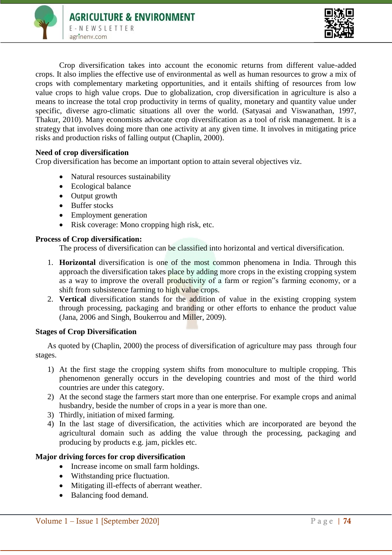



Crop diversification takes into account the economic returns from different value-added crops. It also implies the effective use of environmental as well as human resources to grow a mix of crops with complementary marketing opportunities, and it entails shifting of resources from low value crops to high value crops. Due to globalization, crop diversification in agriculture is also a means to increase the total crop productivity in terms of quality, monetary and quantity value under specific, diverse agro-climatic situations all over the world. (Satyasai and Viswanathan, 1997, Thakur, 2010). Many economists advocate crop diversification as a tool of risk management. It is a strategy that involves doing more than one activity at any given time. It involves in mitigating price risks and production risks of falling output (Chaplin, 2000).

### **Need of crop diversification**

Crop diversification has become an important option to attain several objectives viz.

- Natural resources sustainability
- Ecological balance
- Output growth
- Buffer stocks
- Employment generation
- Risk coverage: Mono cropping high risk, etc.

### **Process of Crop diversification:**

The process of diversification can be classified into horizontal and vertical diversification.

- 1. **Horizontal** diversification is one of the most common phenomena in India. Through this approach the diversification takes place by adding more crops in the existing cropping system as a way to improve the overall productivity of a farm or region"s farming economy, or a shift from subsistence farming to high value crops.
- 2. **Vertical** diversification stands for the addition of value in the existing cropping system through processing, packaging and branding or other efforts to enhance the product value (Jana, 2006 and Singh, Boukerrou and Miller, 2009).

### **Stages of Crop Diversification**

As quoted by (Chaplin, 2000) the process of diversification of agriculture may pass through four stages.

- 1) At the first stage the cropping system shifts from monoculture to multiple cropping. This phenomenon generally occurs in the developing countries and most of the third world countries are under this category.
- 2) At the second stage the farmers start more than one enterprise. For example crops and animal husbandry, beside the number of crops in a year is more than one.
- 3) Thirdly, initiation of mixed farming.
- 4) In the last stage of diversification, the activities which are incorporated are beyond the agricultural domain such as adding the value through the processing, packaging and producing by products e.g. jam, pickles etc.

### **Major driving forces for crop diversification**

- Increase income on small farm holdings.
- Withstanding price fluctuation.
- Mitigating ill-effects of aberrant weather.
- Balancing food demand.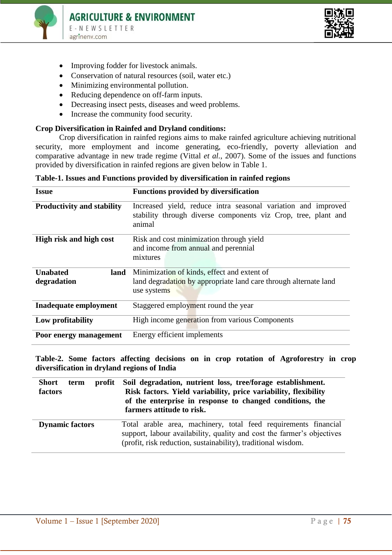



- Improving fodder for livestock animals.
- Conservation of natural resources (soil, water etc.)
- Minimizing environmental pollution.
- Reducing dependence on off-farm inputs.
- Decreasing insect pests, diseases and weed problems.
- Increase the community food security.

### **Crop Diversification in Rainfed and Dryland conditions:**

Crop diversification in rainfed regions aims to make rainfed agriculture achieving nutritional security, more employment and income generating, eco-friendly, poverty alleviation and comparative advantage in new trade regime (Vittal *et al.*, 2007). Some of the issues and functions provided by diversification in rainfed regions are given below in Table 1.

|  |  | Table-1. Issues and Functions provided by diversification in rainfed regions |  |  |  |  |
|--|--|------------------------------------------------------------------------------|--|--|--|--|
|  |  |                                                                              |  |  |  |  |

| <b>Issue</b>                      | <b>Functions provided by diversification</b>                                                                                              |  |  |  |  |
|-----------------------------------|-------------------------------------------------------------------------------------------------------------------------------------------|--|--|--|--|
| <b>Productivity and stability</b> | Increased yield, reduce intra seasonal variation and improved<br>stability through diverse components viz Crop, tree, plant and<br>animal |  |  |  |  |
| High risk and high cost           | Risk and cost minimization through yield<br>and income from annual and perennial<br>mixtures                                              |  |  |  |  |
| <b>Unabated</b><br>land           | Minimization of kinds, effect and extent of                                                                                               |  |  |  |  |
| degradation                       | land degradation by appropriate land care through alternate land<br>use systems                                                           |  |  |  |  |
| Inadequate employment             | Staggered employment round the year                                                                                                       |  |  |  |  |
| Low profitability                 | High income generation from various Components                                                                                            |  |  |  |  |
| Poor energy management            | Energy efficient implements                                                                                                               |  |  |  |  |

**Table-2. Some factors affecting decisions on in crop rotation of Agroforestry in crop diversification in dryland regions of India** 

| <b>Short</b>           | Soil degradation, nutrient loss, tree/forage establishment.                                                                                                                                                |
|------------------------|------------------------------------------------------------------------------------------------------------------------------------------------------------------------------------------------------------|
| profit                 | Risk factors. Yield variability, price variability, flexibility                                                                                                                                            |
| term                   | of the enterprise in response to changed conditions, the                                                                                                                                                   |
| factors                | farmers attitude to risk.                                                                                                                                                                                  |
| <b>Dynamic factors</b> | Total arable area, machinery, total feed requirements financial<br>support, labour availability, quality and cost the farmer's objectives<br>(profit, risk reduction, sustainability), traditional wisdom. |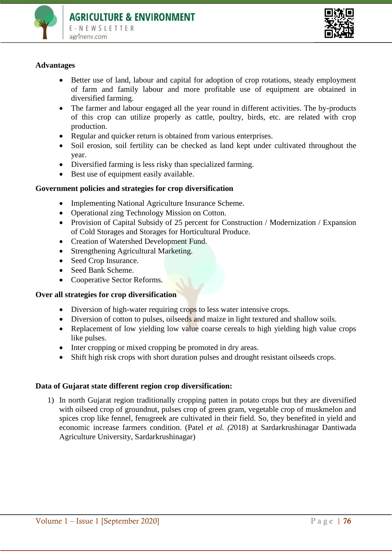



## **Advantages**

- Better use of land, labour and capital for adoption of crop rotations, steady employment of farm and family labour and more profitable use of equipment are obtained in diversified farming.
- The farmer and labour engaged all the year round in different activities. The by-products of this crop can utilize properly as cattle, poultry, birds, etc. are related with crop production.
- Regular and quicker return is obtained from various enterprises.
- Soil erosion, soil fertility can be checked as land kept under cultivated throughout the year.
- Diversified farming is less risky than specialized farming.
- Best use of equipment easily available.

## **Government policies and strategies for crop diversification**

- Implementing National Agriculture Insurance Scheme.
- Operational zing Technology Mission on Cotton.
- Provision of Capital Subsidy of 25 percent for Construction / Modernization / Expansion of Cold Storages and Storages for Horticultural Produce.
- Creation of Watershed Development Fund.
- Strengthening Agricultural Marketing.
- Seed Crop Insurance.
- Seed Bank Scheme.
- Cooperative Sector Reforms.

### **Over all strategies for crop diversification**

- Diversion of high-water requiring crops to less water intensive crops.
- Diversion of cotton to pulses, oilseeds and maize in light textured and shallow soils.
- Replacement of low vielding low value coarse cereals to high vielding high value crops like pulses.
- Inter cropping or mixed cropping be promoted in dry areas.
- Shift high risk crops with short duration pulses and drought resistant oilseeds crops.

### **Data of Gujarat state different region crop diversification:**

1) In north Gujarat region traditionally cropping patten in potato crops but they are diversified with oilseed crop of groundnut, pulses crop of green gram, vegetable crop of muskmelon and spices crop like fennel, fenugreek are cultivated in their field. So, they benefited in yield and economic increase farmers condition. (Patel *et al. (2*018) at Sardarkrushinagar Dantiwada Agriculture University, Sardarkrushinagar)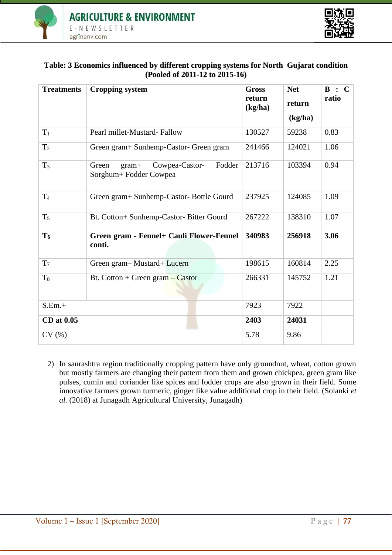



## **Table: 3 Economics influenced by different cropping systems for North Gujarat condition (Pooled of 2011-12 to 2015-16)**

| <b>Treatments</b> | <b>Cropping system</b>                                                 | <b>Gross</b><br>return<br>(kg/ha) | <b>Net</b><br>return | B<br>$\mathbf C$<br>$\bullet$<br>ratio |
|-------------------|------------------------------------------------------------------------|-----------------------------------|----------------------|----------------------------------------|
|                   |                                                                        |                                   | (kg/ha)              |                                        |
| $T_1$             | Pearl millet-Mustard-Fallow                                            | 130527                            | 59238                | 0.83                                   |
| T <sub>2</sub>    | Green gram+ Sunhemp-Castor- Green gram                                 | 241466                            | 124021               | 1.06                                   |
| $T_3$             | Fodder<br>Cowpea-Castor-<br>Green<br>$gram+$<br>Sorghum+ Fodder Cowpea | 213716                            | 103394               | 0.94                                   |
| T <sub>4</sub>    | Green gram+ Sunhemp-Castor- Bottle Gourd                               | 237925                            | 124085               | 1.09                                   |
| $T_5$             | Bt. Cotton+ Sunhemp-Castor- Bitter Gourd                               | 267222                            | 138310               | 1.07                                   |
| T <sub>6</sub>    | Green gram - Fennel+ Cauli Flower-Fennel<br>conti.                     | 340983                            | 256918               | 3.06                                   |
| T <sub>7</sub>    | Green gram-Mustard+Lucern                                              | 198615                            | 160814               | 2.25                                   |
| T <sub>8</sub>    | Bt. Cotton + Green gram $-$ Castor                                     | 266331                            | 145752               | 1.21                                   |
| $S.Em.+$          |                                                                        | 7923                              | 7922                 |                                        |
| CD at 0.05        |                                                                        | 2403                              | 24031                |                                        |
| CV(%)             |                                                                        | 5.78                              | 9.86                 |                                        |

2) In saurashtra region traditionally cropping pattern have only groundnut, wheat, cotton grown but mostly farmers are changing their pattern from them and grown chickpea, green gram like pulses, cumin and coriander like spices and fodder crops are also grown in their field. Some innovative farmers grown turmeric, ginger like value additional crop in their field. (Solanki *et al.* (2018) at Junagadh Agricultural University, Junagadh)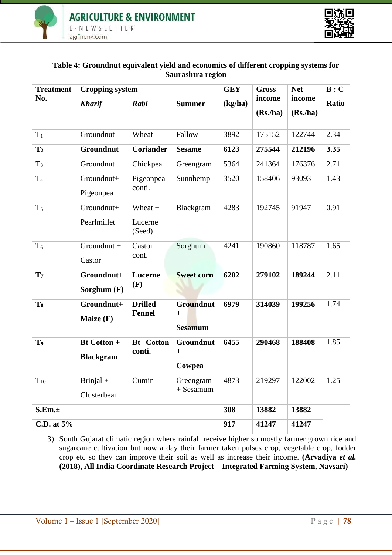



## **Table 4: Groundnut equivalent yield and economics of different cropping systems for Saurashtra region**

| <b>Treatment</b> | <b>Cropping system</b>                 | <b>GEY</b>                      | <b>Gross</b>                       | <b>Net</b> | B:C     |          |       |
|------------------|----------------------------------------|---------------------------------|------------------------------------|------------|---------|----------|-------|
| No.              | <b>Kharif</b>                          | Rabi                            | <b>Summer</b>                      | (kg/ha)    | income  | income   | Ratio |
|                  |                                        |                                 |                                    |            | (Rs/ha) | (Rs, ha) |       |
| $T_1$            | Groundnut                              | Wheat                           | Fallow                             | 3892       | 175152  | 122744   | 2.34  |
| T <sub>2</sub>   | Groundnut                              | <b>Coriander</b>                | <b>Sesame</b>                      | 6123       | 275544  | 212196   | 3.35  |
| $T_3$            | Groundnut                              | Chickpea                        | Greengram                          | 5364       | 241364  | 176376   | 2.71  |
| T <sub>4</sub>   | Groundnut+<br>Pigeonpea                | Pigeonpea<br>conti.             | Sunnhemp                           | 3520       | 158406  | 93093    | 1.43  |
| $T_5$            | Groundnut+<br>Pearlmillet              | Wheat $+$<br>Lucerne<br>(Seed)  | Blackgram                          | 4283       | 192745  | 91947    | 0.91  |
| T <sub>6</sub>   | Groundnut +<br>Castor                  | Castor<br>cont.                 | Sorghum                            | 4241       | 190860  | 118787   | 1.65  |
| T <sub>7</sub>   | Groundnut+<br>Sorghum (F)              | Lucerne<br>(F)                  | <b>Sweet corn</b>                  | 6202       | 279102  | 189244   | 2.11  |
| T <sub>8</sub>   | Groundnut+<br>Maize (F)                | <b>Drilled</b><br><b>Fennel</b> | Groundnut<br>$+$<br><b>Sesamum</b> | 6979       | 314039  | 199256   | 1.74  |
| T <sub>9</sub>   | <b>Bt Cotton +</b><br><b>Blackgram</b> | <b>Bt</b> Cotton<br>conti.      | Groundnut<br>$+$<br>Cowpea         | 6455       | 290468  | 188408   | 1.85  |
| $\rm T_{10}$     | Brinjal $+$<br>Clusterbean             | Cumin                           | Greengram<br>$+$ Sesamum           | 4873       | 219297  | 122002   | 1.25  |
| S.Em.±           |                                        |                                 |                                    | 308        | 13882   | 13882    |       |
| C.D. at 5%       | 917                                    | 41247                           | 41247                              |            |         |          |       |

3) South Gujarat climatic region where rainfall receive higher so mostly farmer grown rice and sugarcane cultivation but now a day their farmer taken pulses crop, vegetable crop, fodder crop etc so they can improve their soil as well as increase their income. **(Arvadiya** *et al.*  **(2018), All India Coordinate Research Project – Integrated Farming System, Navsari)**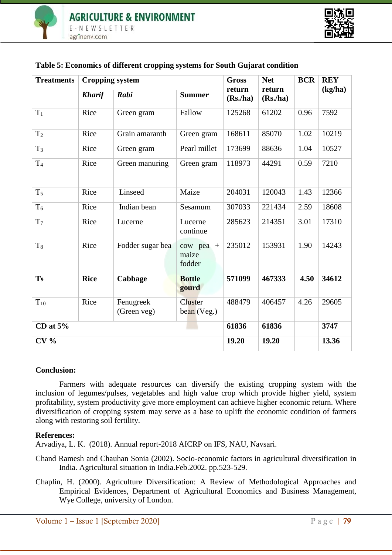

| <b>Treatments</b> | <b>Cropping system</b>   |                          | <b>Gross</b>                      | <b>Net</b>        | <b>BCR</b>         | <b>REY</b> |         |
|-------------------|--------------------------|--------------------------|-----------------------------------|-------------------|--------------------|------------|---------|
|                   | <b>Kharif</b>            | Rabi                     | <b>Summer</b>                     | return<br>(Rs/ha) | return<br>(Rs, ha) |            | (kg/ha) |
| $T_1$             | Rice                     | Green gram               | Fallow                            | 125268            | 61202              | 0.96       | 7592    |
| T <sub>2</sub>    | Rice                     | Grain amaranth           | Green gram                        | 168611            | 85070              | 1.02       | 10219   |
| $T_3$             | Rice                     | Green gram               | Pearl millet                      | 173699            | 88636              | 1.04       | 10527   |
| T <sub>4</sub>    | Rice                     | Green manuring           | Green gram                        | 118973            | 44291              | 0.59       | 7210    |
| T <sub>5</sub>    | Rice                     | Linseed                  | Maize                             | 204031            | 120043             | 1.43       | 12366   |
| $T_6$             | Rice                     | Indian bean              | Sesamum                           | 307033            | 221434             | 2.59       | 18608   |
| T <sub>7</sub>    | Rice                     | Lucerne                  | Lucerne<br>continue               | 285623            | 214351             | 3.01       | 17310   |
| $T_8$             | Rice<br>Fodder sugar bea |                          | $+$<br>cow pea<br>maize<br>fodder | 235012            | 153931             | 1.90       | 14243   |
| T <sub>9</sub>    | <b>Rice</b>              | Cabbage                  | <b>Bottle</b><br>gourd            | 571099            | 467333             | 4.50       | 34612   |
| $T_{10}$          | Rice                     | Fenugreek<br>(Green veg) | Cluster<br>bean (Veg.)            | 488479            | 406457             | 4.26       | 29605   |
| CD at $5%$        |                          | 61836                    | 61836                             |                   | 3747               |            |         |
| CV <sub>0</sub>   | 19.20                    | 19.20                    |                                   | 13.36             |                    |            |         |

# **Table 5: Economics of different cropping systems for South Gujarat condition**

## **Conclusion:**

Farmers with adequate resources can diversify the existing cropping system with the inclusion of legumes/pulses, vegetables and high value crop which provide higher yield, system profitability, system productivity give more employment can achieve higher economic return. Where diversification of cropping system may serve as a base to uplift the economic condition of farmers along with restoring soil fertility.

## **References:**

Arvadiya, L. K. (2018). Annual report-2018 AICRP on IFS, NAU, Navsari.

- Chand Ramesh and Chauhan Sonia (2002). Socio-economic factors in agricultural diversification in India. Agricultural situation in India.Feb.2002. pp.523-529.
- Chaplin, H. (2000). Agriculture Diversification: A Review of Methodological Approaches and Empirical Evidences, Department of Agricultural Economics and Business Management, Wye College, university of London.